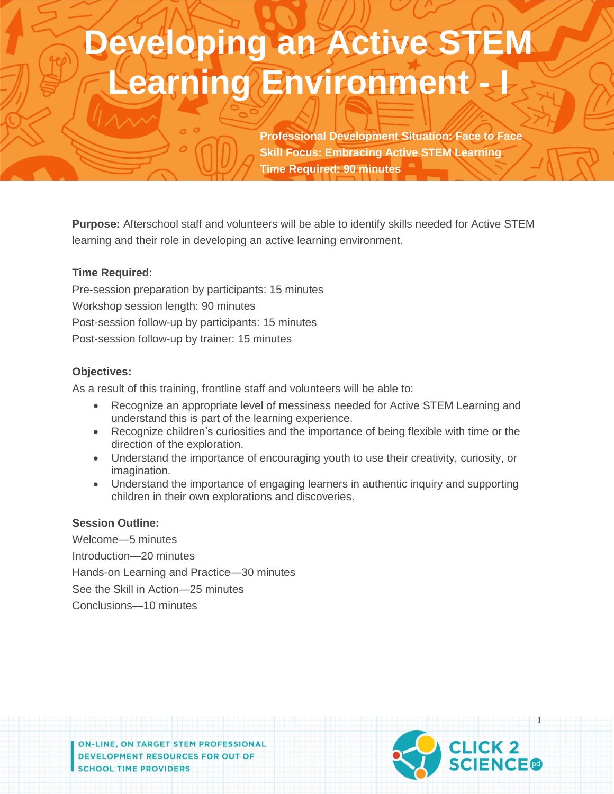# **Developing an Active STEM Learning Environment - I**

**Professional Development Situation: Face to Face Skill Focus: Embracing Active STEM Learning Time Required: 90 minutes**

**Purpose:** Afterschool staff and volunteers will be able to identify skills needed for Active STEM learning and their role in developing an active learning environment.

#### **Time Required:**

Pre-session preparation by participants: 15 minutes Workshop session length: 90 minutes Post-session follow-up by participants: 15 minutes Post-session follow-up by trainer: 15 minutes

#### **Objectives:**

As a result of this training, frontline staff and volunteers will be able to:

- Recognize an appropriate level of messiness needed for Active STEM Learning and understand this is part of the learning experience.
- Recognize children's curiosities and the importance of being flexible with time or the direction of the exploration.
- Understand the importance of encouraging youth to use their creativity, curiosity, or imagination.
- Understand the importance of engaging learners in authentic inquiry and supporting children in their own explorations and discoveries.

#### **Session Outline:**

Welcome—5 minutes Introduction—20 minutes Hands-on Learning and Practice—30 minutes See the Skill in Action—25 minutes Conclusions—10 minutes

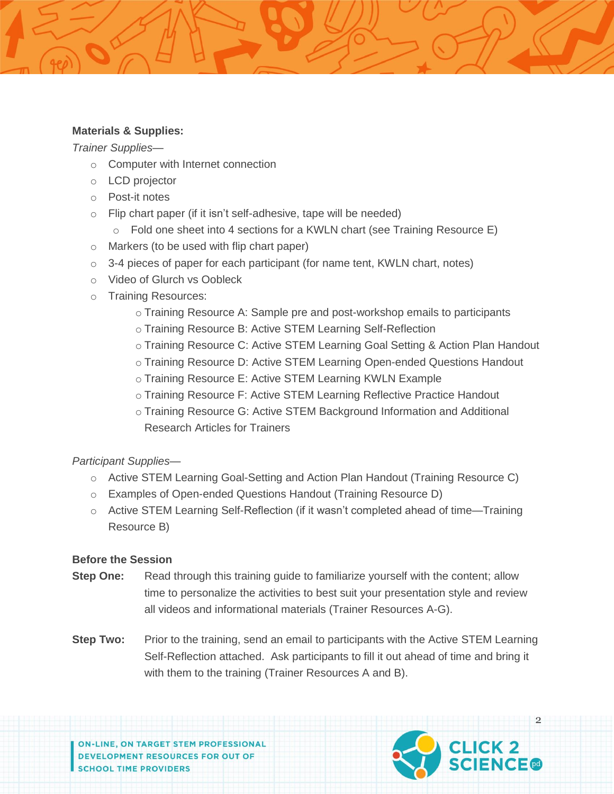#### **Materials & Supplies:**

*Trainer Supplies*—

- o Computer with Internet connection
- o LCD projector
- o Post-it notes
- $\circ$  Flip chart paper (if it isn't self-adhesive, tape will be needed)
	- $\circ$  Fold one sheet into 4 sections for a KWLN chart (see Training Resource E)
- o Markers (to be used with flip chart paper)
- $\circ$  3-4 pieces of paper for each participant (for name tent, KWLN chart, notes)
- o Video of Glurch vs Oobleck
- o Training Resources:
	- o Training Resource A: Sample pre and post-workshop emails to participants
	- o Training Resource B: Active STEM Learning Self-Reflection
	- o Training Resource C: Active STEM Learning Goal Setting & Action Plan Handout
	- o Training Resource D: Active STEM Learning Open-ended Questions Handout
	- o Training Resource E: Active STEM Learning KWLN Example
	- o Training Resource F: Active STEM Learning Reflective Practice Handout
	- o Training Resource G: Active STEM Background Information and Additional Research Articles for Trainers

*Participant Supplies*—

- o Active STEM Learning Goal-Setting and Action Plan Handout (Training Resource C)
- o Examples of Open-ended Questions Handout (Training Resource D)
- $\circ$  Active STEM Learning Self-Reflection (if it wasn't completed ahead of time—Training Resource B)

#### **Before the Session**

- **Step One:** Read through this training quide to familiarize yourself with the content; allow time to personalize the activities to best suit your presentation style and review all videos and informational materials (Trainer Resources A-G).
- **Step Two:** Prior to the training, send an email to participants with the Active STEM Learning Self-Reflection attached. Ask participants to fill it out ahead of time and bring it with them to the training (Trainer Resources A and B).

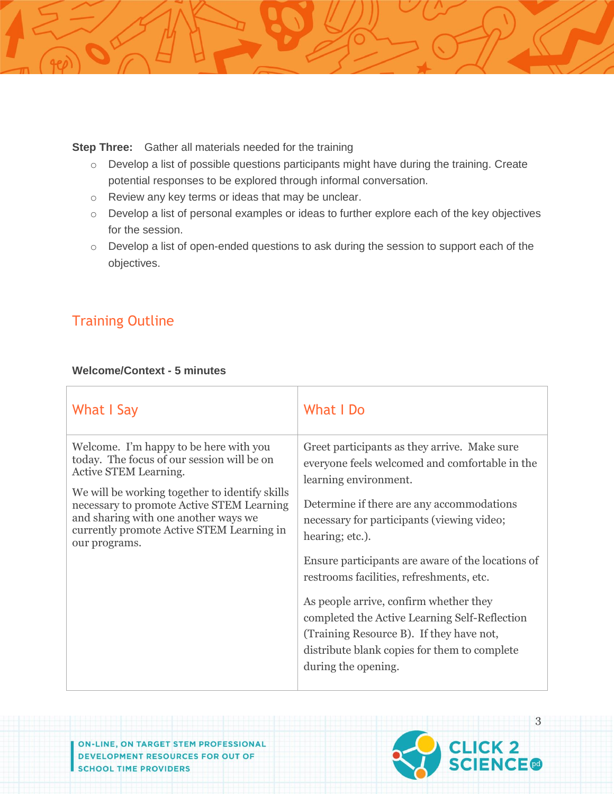**Step Three:** Gather all materials needed for the training

- o Develop a list of possible questions participants might have during the training. Create potential responses to be explored through informal conversation.
- o Review any key terms or ideas that may be unclear.
- o Develop a list of personal examples or ideas to further explore each of the key objectives for the session.
- o Develop a list of open-ended questions to ask during the session to support each of the objectives.

# Training Outline

#### **Welcome/Context - 5 minutes**

| What I Say                                                                                                                                                                                                                                                                                                         | What I Do                                                                                                                                                                                                                                                                                                                                                                                                                                                                                                                                            |
|--------------------------------------------------------------------------------------------------------------------------------------------------------------------------------------------------------------------------------------------------------------------------------------------------------------------|------------------------------------------------------------------------------------------------------------------------------------------------------------------------------------------------------------------------------------------------------------------------------------------------------------------------------------------------------------------------------------------------------------------------------------------------------------------------------------------------------------------------------------------------------|
| Welcome. I'm happy to be here with you<br>today. The focus of our session will be on<br>Active STEM Learning.<br>We will be working together to identify skills<br>necessary to promote Active STEM Learning<br>and sharing with one another ways we<br>currently promote Active STEM Learning in<br>our programs. | Greet participants as they arrive. Make sure<br>everyone feels welcomed and comfortable in the<br>learning environment.<br>Determine if there are any accommodations<br>necessary for participants (viewing video;<br>hearing; etc.).<br>Ensure participants are aware of the locations of<br>restrooms facilities, refreshments, etc.<br>As people arrive, confirm whether they<br>completed the Active Learning Self-Reflection<br>(Training Resource B). If they have not,<br>distribute blank copies for them to complete<br>during the opening. |

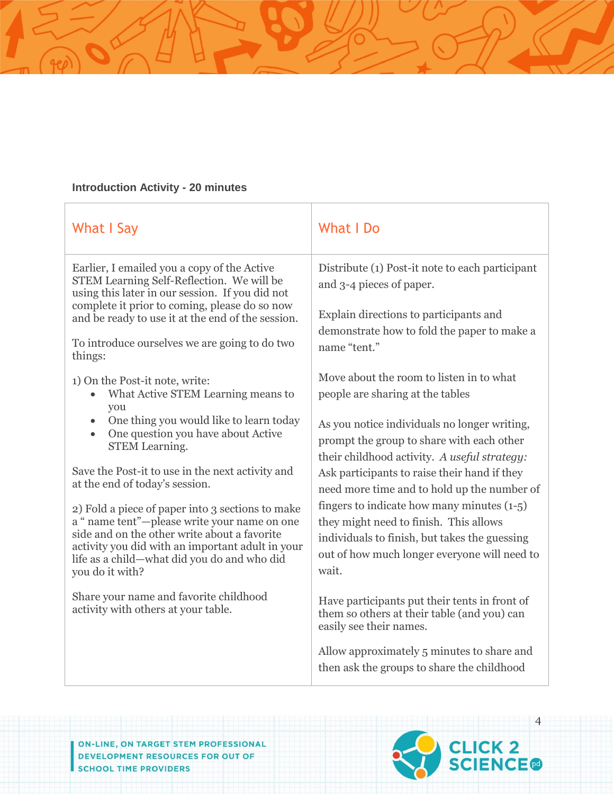## **Introduction Activity - 20 minutes**

| What I Say                                                                                                                                                                                                                                                                                                                                                | What I Do                                                                                                                                                                                                                                                                                                                                                                |  |
|-----------------------------------------------------------------------------------------------------------------------------------------------------------------------------------------------------------------------------------------------------------------------------------------------------------------------------------------------------------|--------------------------------------------------------------------------------------------------------------------------------------------------------------------------------------------------------------------------------------------------------------------------------------------------------------------------------------------------------------------------|--|
| Earlier, I emailed you a copy of the Active<br>STEM Learning Self-Reflection. We will be<br>using this later in our session. If you did not<br>complete it prior to coming, please do so now                                                                                                                                                              | Distribute (1) Post-it note to each participant<br>and 3-4 pieces of paper.<br>Explain directions to participants and<br>demonstrate how to fold the paper to make a<br>name "tent."                                                                                                                                                                                     |  |
| and be ready to use it at the end of the session.<br>To introduce ourselves we are going to do two<br>things:                                                                                                                                                                                                                                             |                                                                                                                                                                                                                                                                                                                                                                          |  |
| 1) On the Post-it note, write:<br>What Active STEM Learning means to<br>you<br>One thing you would like to learn today<br>$\bullet$<br>One question you have about Active<br>$\bullet$<br><b>STEM Learning.</b><br>Save the Post-it to use in the next activity and<br>at the end of today's session.<br>2) Fold a piece of paper into 3 sections to make | Move about the room to listen in to what<br>people are sharing at the tables<br>As you notice individuals no longer writing,<br>prompt the group to share with each other<br>their childhood activity. A useful strategy:<br>Ask participants to raise their hand if they<br>need more time and to hold up the number of<br>fingers to indicate how many minutes $(1-5)$ |  |
| a "name tent"—please write your name on one<br>side and on the other write about a favorite<br>activity you did with an important adult in your<br>life as a child-what did you do and who did<br>you do it with?                                                                                                                                         | they might need to finish. This allows<br>individuals to finish, but takes the guessing<br>out of how much longer everyone will need to<br>wait.                                                                                                                                                                                                                         |  |
| Share your name and favorite childhood<br>activity with others at your table.                                                                                                                                                                                                                                                                             | Have participants put their tents in front of<br>them so others at their table (and you) can<br>easily see their names.                                                                                                                                                                                                                                                  |  |
|                                                                                                                                                                                                                                                                                                                                                           | Allow approximately 5 minutes to share and<br>then ask the groups to share the childhood                                                                                                                                                                                                                                                                                 |  |

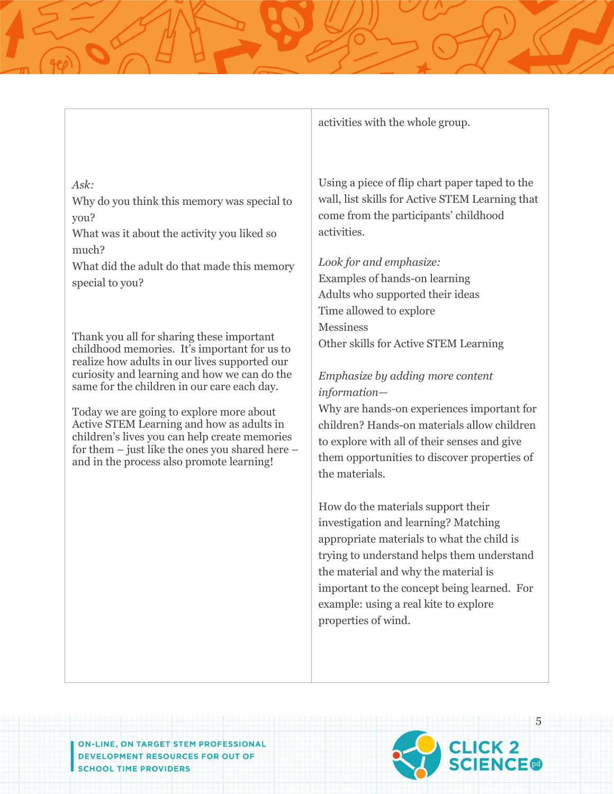#### *Ask:*

Why do you think this memory was special to you?

What was it about the activity you liked so much?

What did the adult do that made this memory special to you?

Thank you all for sharing these important childhood memories. It's important for us to realize how adults in our lives supported our curiosity and learning and how we can do the same for the children in our care each day.

Today we are going to explore more about Active STEM Learning and how as adults in children's lives you can help create memories for them – just like the ones you shared here – and in the process also promote learning!

activities with the whole group.

Using a piece of flip chart paper taped to the wall, list skills for Active STEM Learning that come from the participants' childhood activities.

# *Look for and emphasize:*

Examples of hands-on learning Adults who supported their ideas Time allowed to explore **Messiness** Other skills for Active STEM Learning

# *Emphasize by adding more content information—*

Why are hands-on experiences important for children? Hands-on materials allow children to explore with all of their senses and give them opportunities to discover properties of the materials.

How do the materials support their investigation and learning? Matching appropriate materials to what the child is trying to understand helps them understand the material and why the material is important to the concept being learned. For example: using a real kite to explore properties of wind.

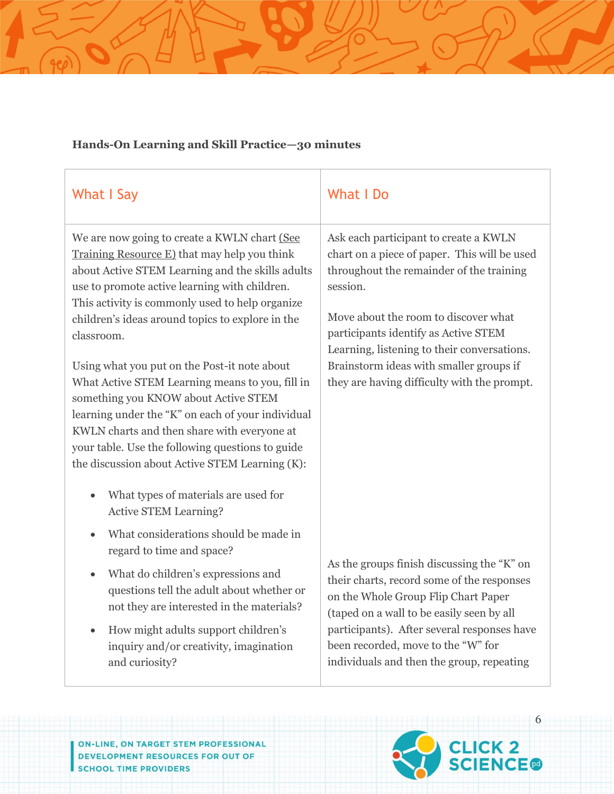# **Hands-On Learning and Skill Practice—30 minutes**

| <b>What I Say</b>                                                                                                                                                                                                                                                                                                                                                                                                                                                                                                                                                                                                                                                           | <b>What I Do</b>                                                                                                                                                                                                                                                                                                                                                       |  |  |
|-----------------------------------------------------------------------------------------------------------------------------------------------------------------------------------------------------------------------------------------------------------------------------------------------------------------------------------------------------------------------------------------------------------------------------------------------------------------------------------------------------------------------------------------------------------------------------------------------------------------------------------------------------------------------------|------------------------------------------------------------------------------------------------------------------------------------------------------------------------------------------------------------------------------------------------------------------------------------------------------------------------------------------------------------------------|--|--|
| We are now going to create a KWLN chart (See<br>Training Resource E) that may help you think<br>about Active STEM Learning and the skills adults<br>use to promote active learning with children.<br>This activity is commonly used to help organize<br>children's ideas around topics to explore in the<br>classroom.<br>Using what you put on the Post-it note about<br>What Active STEM Learning means to you, fill in<br>something you KNOW about Active STEM<br>learning under the "K" on each of your individual<br>KWLN charts and then share with everyone at<br>your table. Use the following questions to guide<br>the discussion about Active STEM Learning (K): | Ask each participant to create a KWLN<br>chart on a piece of paper. This will be used<br>throughout the remainder of the training<br>session.<br>Move about the room to discover what<br>participants identify as Active STEM<br>Learning, listening to their conversations.<br>Brainstorm ideas with smaller groups if<br>they are having difficulty with the prompt. |  |  |
| What types of materials are used for<br>$\bullet$<br><b>Active STEM Learning?</b>                                                                                                                                                                                                                                                                                                                                                                                                                                                                                                                                                                                           |                                                                                                                                                                                                                                                                                                                                                                        |  |  |
| What considerations should be made in<br>regard to time and space?                                                                                                                                                                                                                                                                                                                                                                                                                                                                                                                                                                                                          |                                                                                                                                                                                                                                                                                                                                                                        |  |  |
| What do children's expressions and<br>questions tell the adult about whether or<br>not they are interested in the materials?                                                                                                                                                                                                                                                                                                                                                                                                                                                                                                                                                | As the groups finish discussing the "K" on<br>their charts, record some of the responses<br>on the Whole Group Flip Chart Paper<br>(taped on a wall to be easily seen by all                                                                                                                                                                                           |  |  |
| How might adults support children's<br>$\bullet$<br>inquiry and/or creativity, imagination<br>and curiosity?                                                                                                                                                                                                                                                                                                                                                                                                                                                                                                                                                                | participants). After several responses have<br>been recorded, move to the "W" for<br>individuals and then the group, repeating                                                                                                                                                                                                                                         |  |  |

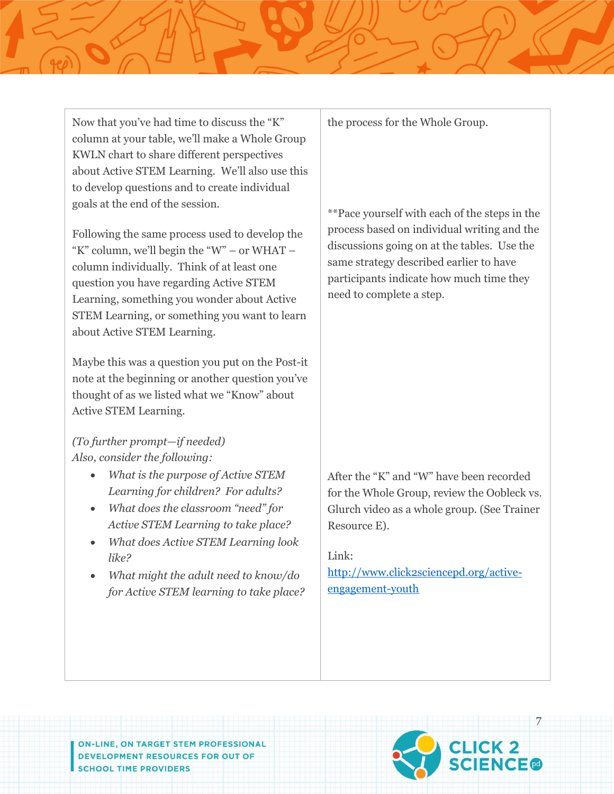Now that you've had time to discuss the "K" column at your table, we'll make a Whole Group KWLN chart to share different perspectives about Active STEM Learning. We'll also use this to develop questions and to create individual goals at the end of the session.

Following the same process used to develop the "K" column, we'll begin the "W" – or WHAT – column individually. Think of at least one question you have regarding Active STEM Learning, something you wonder about Active STEM Learning, or something you want to learn about Active STEM Learning.

Maybe this was a question you put on the Post-it note at the beginning or another question you've thought of as we listed what we "Know" about Active STEM Learning.

*(To further prompt—if needed) Also, consider the following:*

- *What is the purpose of Active STEM Learning for children? For adults?*
- *What does the classroom "need" for Active STEM Learning to take place?*
- *What does Active STEM Learning look like?*
- *What might the adult need to know/do for Active STEM learning to take place?*

the process for the Whole Group.

\*\*Pace yourself with each of the steps in the process based on individual writing and the discussions going on at the tables. Use the same strategy described earlier to have participants indicate how much time they need to complete a step.

After the "K" and "W" have been recorded for the Whole Group, review the Oobleck vs. Glurch video as a whole group. (See Trainer Resource E).

Link:

[http://www.click2sciencepd.org/active](http://www.click2sciencepd.org/active-engagement-youth)[engagement-youth](http://www.click2sciencepd.org/active-engagement-youth)

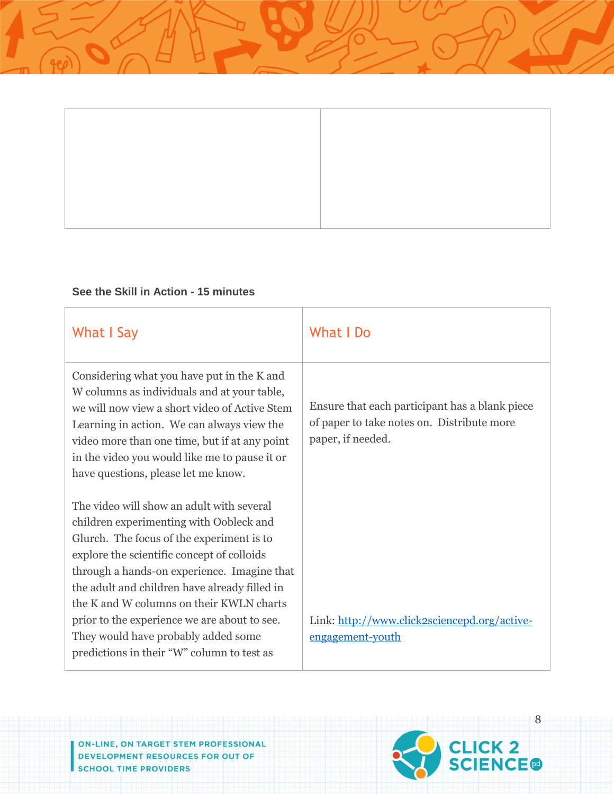

# **See the Skill in Action - 15 minutes**

| What I Say                                                                                                                                                                                                                                                                                                                                                                                                                                                       | What I Do                                                                                                         |
|------------------------------------------------------------------------------------------------------------------------------------------------------------------------------------------------------------------------------------------------------------------------------------------------------------------------------------------------------------------------------------------------------------------------------------------------------------------|-------------------------------------------------------------------------------------------------------------------|
| Considering what you have put in the K and<br>W columns as individuals and at your table,<br>we will now view a short video of Active Stem<br>Learning in action. We can always view the<br>video more than one time, but if at any point<br>in the video you would like me to pause it or<br>have questions, please let me know.                                                                                                                                | Ensure that each participant has a blank piece<br>of paper to take notes on. Distribute more<br>paper, if needed. |
| The video will show an adult with several<br>children experimenting with Oobleck and<br>Glurch. The focus of the experiment is to<br>explore the scientific concept of colloids<br>through a hands-on experience. Imagine that<br>the adult and children have already filled in<br>the K and W columns on their KWLN charts<br>prior to the experience we are about to see.<br>They would have probably added some<br>predictions in their "W" column to test as | Link: http://www.click2sciencepd.org/active-<br>engagement-youth                                                  |

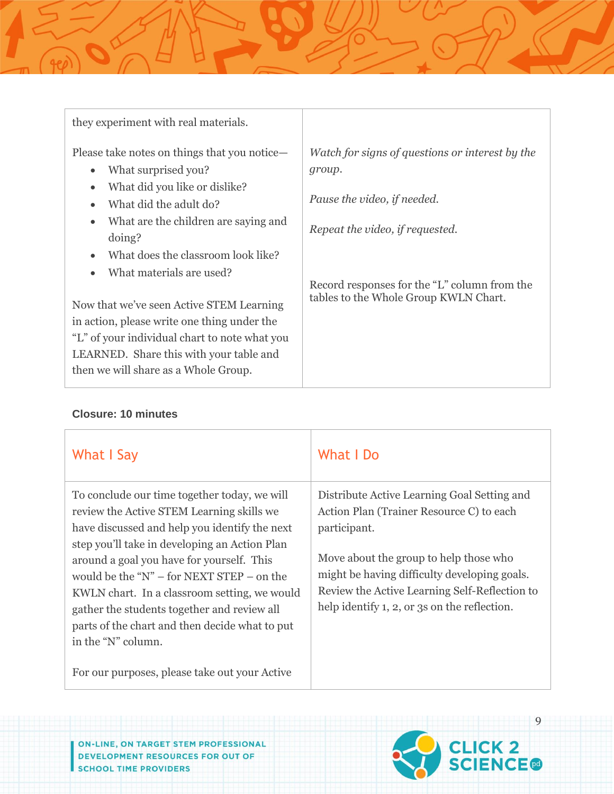| they experiment with real materials.                                              |                                                                                       |
|-----------------------------------------------------------------------------------|---------------------------------------------------------------------------------------|
| Please take notes on things that you notice—                                      | Watch for signs of questions or interest by the                                       |
| What surprised you?<br>$\bullet$                                                  | group.                                                                                |
| What did you like or dislike?<br>$\bullet$<br>What did the adult do?<br>$\bullet$ | Pause the video, if needed.                                                           |
| What are the children are saying and<br>$\bullet$<br>doing?                       | Repeat the video, if requested.                                                       |
| What does the classroom look like?<br>$\bullet$                                   |                                                                                       |
| What materials are used?<br>$\bullet$                                             |                                                                                       |
| Now that we've seen Active STEM Learning                                          | Record responses for the "L" column from the<br>tables to the Whole Group KWLN Chart. |
| in action, please write one thing under the                                       |                                                                                       |
| "L" of your individual chart to note what you                                     |                                                                                       |
| LEARNED. Share this with your table and                                           |                                                                                       |
| then we will share as a Whole Group.                                              |                                                                                       |

#### **Closure: 10 minutes**

| What I Say                                                                                                                                                                                                                                                                                                                                                                                                                                                       | What I Do                                                                                                                                                                                                                                                                                          |
|------------------------------------------------------------------------------------------------------------------------------------------------------------------------------------------------------------------------------------------------------------------------------------------------------------------------------------------------------------------------------------------------------------------------------------------------------------------|----------------------------------------------------------------------------------------------------------------------------------------------------------------------------------------------------------------------------------------------------------------------------------------------------|
| To conclude our time together today, we will<br>review the Active STEM Learning skills we<br>have discussed and help you identify the next<br>step you'll take in developing an Action Plan<br>around a goal you have for yourself. This<br>would be the " $N$ " – for NEXT STEP – on the<br>KWLN chart. In a classroom setting, we would<br>gather the students together and review all<br>parts of the chart and then decide what to put<br>in the "N" column. | Distribute Active Learning Goal Setting and<br>Action Plan (Trainer Resource C) to each<br>participant.<br>Move about the group to help those who<br>might be having difficulty developing goals.<br>Review the Active Learning Self-Reflection to<br>help identify 1, 2, or 3s on the reflection. |
| For our purposes, please take out your Active                                                                                                                                                                                                                                                                                                                                                                                                                    |                                                                                                                                                                                                                                                                                                    |

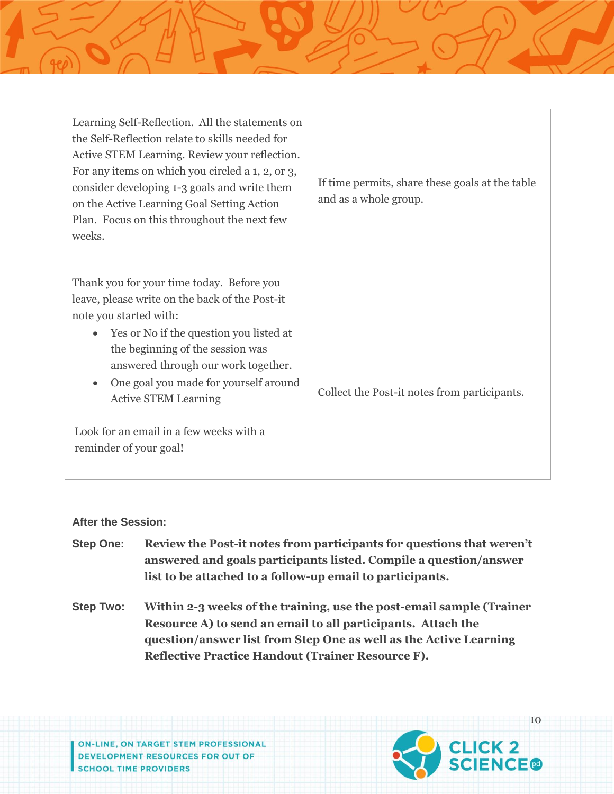| Learning Self-Reflection. All the statements on<br>the Self-Reflection relate to skills needed for<br>Active STEM Learning. Review your reflection.<br>For any items on which you circled a 1, 2, or 3,<br>consider developing 1-3 goals and write them<br>on the Active Learning Goal Setting Action<br>Plan. Focus on this throughout the next few<br>weeks.                                        | If time permits, share these goals at the table<br>and as a whole group. |
|-------------------------------------------------------------------------------------------------------------------------------------------------------------------------------------------------------------------------------------------------------------------------------------------------------------------------------------------------------------------------------------------------------|--------------------------------------------------------------------------|
| Thank you for your time today. Before you<br>leave, please write on the back of the Post-it<br>note you started with:<br>Yes or No if the question you listed at<br>the beginning of the session was<br>answered through our work together.<br>One goal you made for yourself around<br>$\bullet$<br><b>Active STEM Learning</b><br>Look for an email in a few weeks with a<br>reminder of your goal! | Collect the Post-it notes from participants.                             |

#### **After the Session:**

- **Step One: Review the Post-it notes from participants for questions that weren't answered and goals participants listed. Compile a question/answer list to be attached to a follow-up email to participants.**
- **Step Two: Within 2-3 weeks of the training, use the post-email sample (Trainer Resource A) to send an email to all participants. Attach the question/answer list from Step One as well as the Active Learning Reflective Practice Handout (Trainer Resource F).**

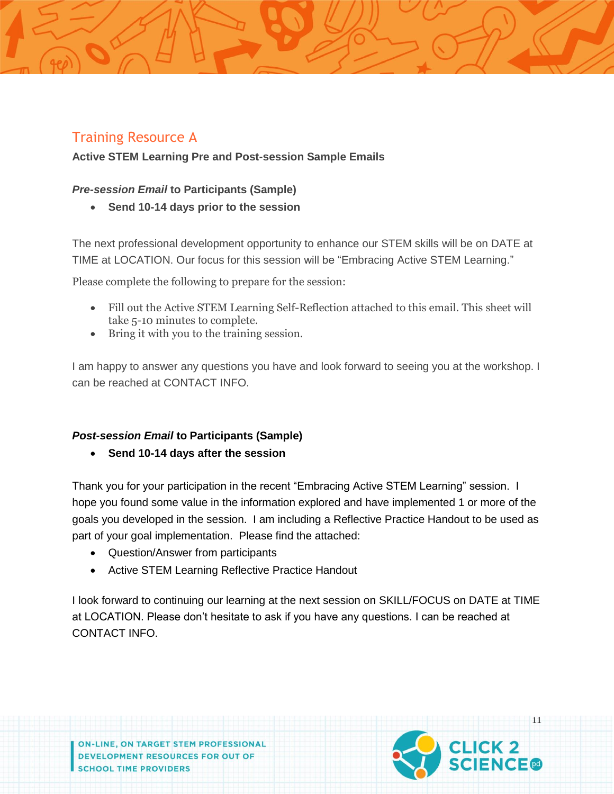# Training Resource A

## **Active STEM Learning Pre and Post-session Sample Emails**

#### *Pre-session Email* **to Participants (Sample)**

**Send 10-14 days prior to the session**

The next professional development opportunity to enhance our STEM skills will be on DATE at TIME at LOCATION. Our focus for this session will be "Embracing Active STEM Learning."

Please complete the following to prepare for the session:

- Fill out the Active STEM Learning Self-Reflection attached to this email. This sheet will take 5-10 minutes to complete.
- Bring it with you to the training session.

I am happy to answer any questions you have and look forward to seeing you at the workshop. I can be reached at CONTACT INFO.

#### *Post-session Email* **to Participants (Sample)**

**Send 10-14 days after the session**

Thank you for your participation in the recent "Embracing Active STEM Learning" session. I hope you found some value in the information explored and have implemented 1 or more of the goals you developed in the session. I am including a Reflective Practice Handout to be used as part of your goal implementation. Please find the attached:

- Question/Answer from participants
- Active STEM Learning Reflective Practice Handout

I look forward to continuing our learning at the next session on SKILL/FOCUS on DATE at TIME at LOCATION. Please don't hesitate to ask if you have any questions. I can be reached at CONTACT INFO.

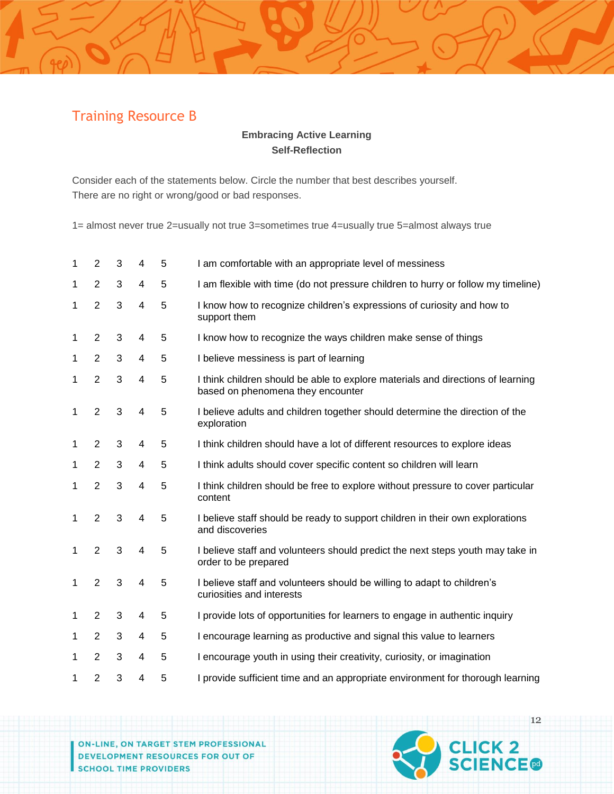# Training Resource B

## **Embracing Active Learning Self-Reflection**

Consider each of the statements below. Circle the number that best describes yourself. There are no right or wrong/good or bad responses.

1= almost never true 2=usually not true 3=sometimes true 4=usually true 5=almost always true

| 1 | 2              | 3 | 4                       | 5 | I am comfortable with an appropriate level of messiness                                                              |
|---|----------------|---|-------------------------|---|----------------------------------------------------------------------------------------------------------------------|
| 1 | $\overline{2}$ | 3 | 4                       | 5 | I am flexible with time (do not pressure children to hurry or follow my timeline)                                    |
| 1 | $\overline{2}$ | 3 | $\overline{4}$          | 5 | I know how to recognize children's expressions of curiosity and how to<br>support them                               |
| 1 | $\overline{2}$ | 3 | 4                       | 5 | I know how to recognize the ways children make sense of things                                                       |
| 1 | $\overline{2}$ | 3 | 4                       | 5 | I believe messiness is part of learning                                                                              |
| 1 | $\overline{2}$ | 3 | $\overline{4}$          | 5 | I think children should be able to explore materials and directions of learning<br>based on phenomena they encounter |
| 1 | $\overline{2}$ | 3 | 4                       | 5 | I believe adults and children together should determine the direction of the<br>exploration                          |
| 1 | 2              | 3 | 4                       | 5 | I think children should have a lot of different resources to explore ideas                                           |
| 1 | $\overline{2}$ | 3 | 4                       | 5 | I think adults should cover specific content so children will learn                                                  |
| 1 | $\overline{2}$ | 3 | $\overline{\mathbf{4}}$ | 5 | I think children should be free to explore without pressure to cover particular<br>content                           |
| 1 | $\overline{2}$ | 3 | 4                       | 5 | I believe staff should be ready to support children in their own explorations<br>and discoveries                     |
| 1 | $\overline{2}$ | 3 | 4                       | 5 | I believe staff and volunteers should predict the next steps youth may take in<br>order to be prepared               |
| 1 | $\overline{2}$ | 3 | $\overline{4}$          | 5 | I believe staff and volunteers should be willing to adapt to children's<br>curiosities and interests                 |
| 1 | $\overline{2}$ | 3 | 4                       | 5 | I provide lots of opportunities for learners to engage in authentic inquiry                                          |
| 1 | 2              | 3 | 4                       | 5 | I encourage learning as productive and signal this value to learners                                                 |
| 1 | $\overline{2}$ | 3 | 4                       | 5 | I encourage youth in using their creativity, curiosity, or imagination                                               |
| 1 | $\overline{2}$ | 3 | 4                       | 5 | I provide sufficient time and an appropriate environment for thorough learning                                       |

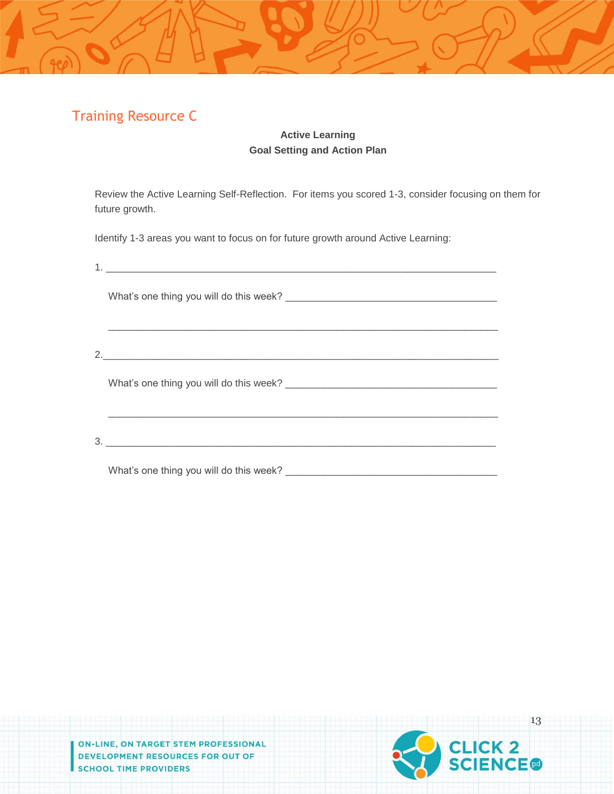# Training Resource C

### **Active Learning Goal Setting and Action Plan**

Review the Active Learning Self-Reflection. For items you scored 1-3, consider focusing on them for future growth.

Identify 1-3 areas you want to focus on for future growth around Active Learning:

| 3.                                      |
|-----------------------------------------|
| What's one thing you will do this week? |

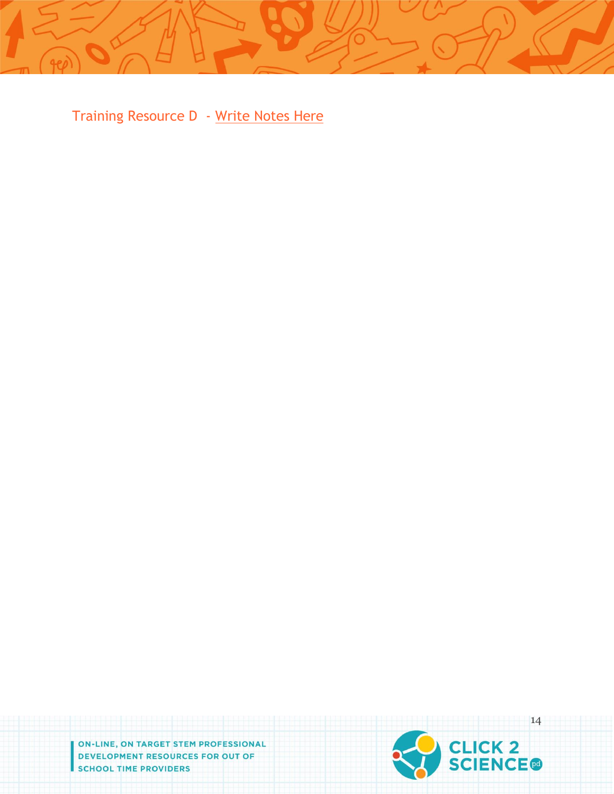Training Resource D - Write Notes Here

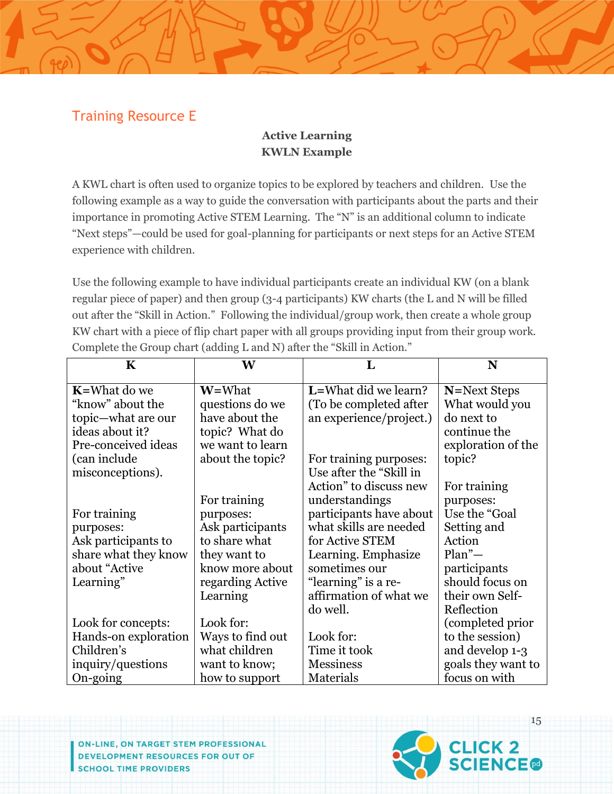# Training Resource E

# **Active Learning KWLN Example**

A KWL chart is often used to organize topics to be explored by teachers and children. Use the following example as a way to guide the conversation with participants about the parts and their importance in promoting Active STEM Learning. The "N" is an additional column to indicate "Next steps"—could be used for goal-planning for participants or next steps for an Active STEM experience with children.

Use the following example to have individual participants create an individual KW (on a blank regular piece of paper) and then group (3-4 participants) KW charts (the L and N will be filled out after the "Skill in Action." Following the individual/group work, then create a whole group KW chart with a piece of flip chart paper with all groups providing input from their group work. Complete the Group chart (adding L and N) after the "Skill in Action."

| K                    | W                | L                       | N                  |
|----------------------|------------------|-------------------------|--------------------|
| <b>K</b> =What do we | W=What           | L=What did we learn?    | N=Next Steps       |
| "know" about the     | questions do we  | (To be completed after) | What would you     |
| topic-what are our   | have about the   | an experience/project.) | do next to         |
| ideas about it?      | topic? What do   |                         | continue the       |
| Pre-conceived ideas  | we want to learn |                         | exploration of the |
| (can include         | about the topic? | For training purposes:  | topic?             |
| misconceptions).     |                  | Use after the "Skill in |                    |
|                      |                  | Action" to discuss new  | For training       |
|                      | For training     | understandings          | purposes:          |
| For training         | purposes:        | participants have about | Use the "Goal      |
| purposes:            | Ask participants | what skills are needed  | Setting and        |
| Ask participants to  | to share what    | for Active STEM         | Action             |
| share what they know | they want to     | Learning. Emphasize     | $Plan^"$ —         |
| about "Active        | know more about  | sometimes our           | participants       |
| Learning"            | regarding Active | "learning" is a re-     | should focus on    |
|                      | Learning         | affirmation of what we  | their own Self-    |
|                      |                  | do well.                | Reflection         |
| Look for concepts:   | Look for:        |                         | (completed prior   |
| Hands-on exploration | Ways to find out | Look for:               | to the session)    |
| Children's           | what children    | Time it took            | and develop 1-3    |
| inquiry/questions    | want to know;    | <b>Messiness</b>        | goals they want to |
| On-going             | how to support   | <b>Materials</b>        | focus on with      |

ON-LINE, ON TARGET STEM PROFESSIONAL **DEVELOPMENT RESOURCES FOR OUT OF SCHOOL TIME PROVIDERS** 



15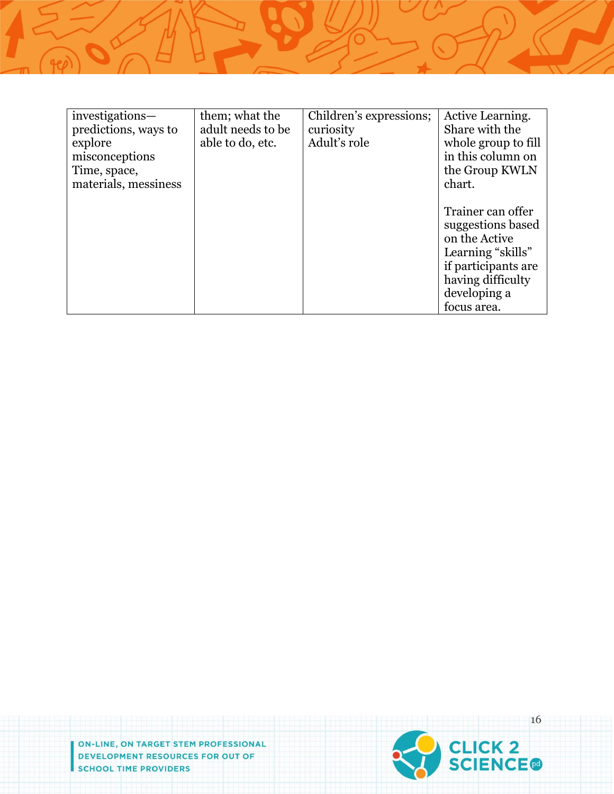| investigations-      | them; what the    | Children's expressions; | Active Learning.    |
|----------------------|-------------------|-------------------------|---------------------|
| predictions, ways to | adult needs to be | curiosity               | Share with the      |
| explore              | able to do, etc.  | Adult's role            | whole group to fill |
| misconceptions       |                   |                         | in this column on   |
| Time, space,         |                   |                         | the Group KWLN      |
| materials, messiness |                   |                         | chart.              |
|                      |                   |                         |                     |
|                      |                   |                         | Trainer can offer   |
|                      |                   |                         | suggestions based   |
|                      |                   |                         | on the Active       |
|                      |                   |                         | Learning "skills"   |
|                      |                   |                         | if participants are |
|                      |                   |                         | having difficulty   |
|                      |                   |                         | developing a        |
|                      |                   |                         | focus area.         |

ON-LINE, ON TARGET STEM PROFESSIONAL **DEVELOPMENT RESOURCES FOR OUT OF SCHOOL TIME PROVIDERS** 

 $\sqrt{4e}$ 

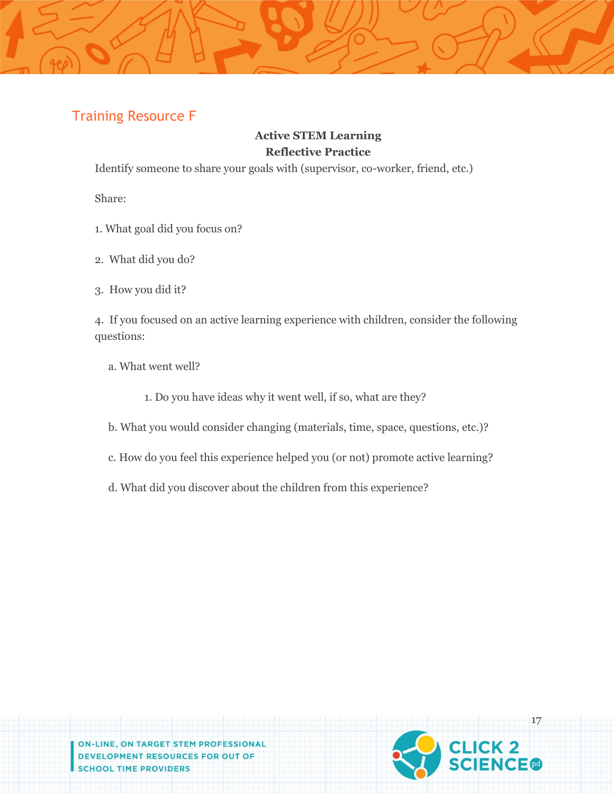# Training Resource F

# **Active STEM Learning Reflective Practice**

Identify someone to share your goals with (supervisor, co-worker, friend, etc.)

Share:

- 1. What goal did you focus on?
- 2. What did you do?
- 3. How you did it?

4. If you focused on an active learning experience with children, consider the following questions:

- a. What went well?
	- 1. Do you have ideas why it went well, if so, what are they?
- b. What you would consider changing (materials, time, space, questions, etc.)?
- c. How do you feel this experience helped you (or not) promote active learning?
- d. What did you discover about the children from this experience?

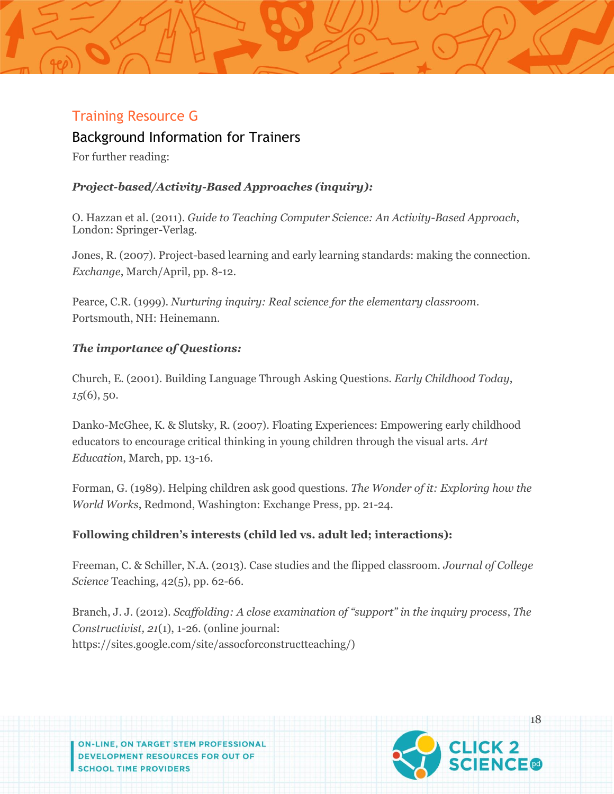# Training Resource G

Background Information for Trainers

For further reading:

# *Project-based/Activity-Based Approaches (inquiry):*

O. Hazzan et al. (2011). *Guide to Teaching Computer Science: An Activity-Based Approach*, London: Springer-Verlag.

Jones, R. (2007). Project-based learning and early learning standards: making the connection. *Exchange*, March/April, pp. 8-12.

Pearce, C.R. (1999). *Nurturing inquiry: Real science for the elementary classroom*. Portsmouth, NH: Heinemann.

## *The importance of Questions:*

Church, E. (2001). Building Language Through Asking Questions. *Early Childhood Today*, *15*(6), 50.

Danko-McGhee, K. & Slutsky, R. (2007). Floating Experiences: Empowering early childhood educators to encourage critical thinking in young children through the visual arts. *Art Education*, March, pp. 13-16.

Forman, G. (1989). Helping children ask good questions. *The Wonder of it: Exploring how the World Works*, Redmond, Washington: Exchange Press, pp. 21-24.

## **Following children's interests (child led vs. adult led; interactions):**

Freeman, C. & Schiller, N.A. (2013). Case studies and the flipped classroom. *Journal of College Science* Teaching, 42(5), pp. 62-66.

Branch, J. J. (2012). *Scaffolding: A close examination of "support" in the inquiry process*, *The Constructivist, 21*(1), 1-26. (online journal: https://sites.google.com/site/assocforconstructteaching/)